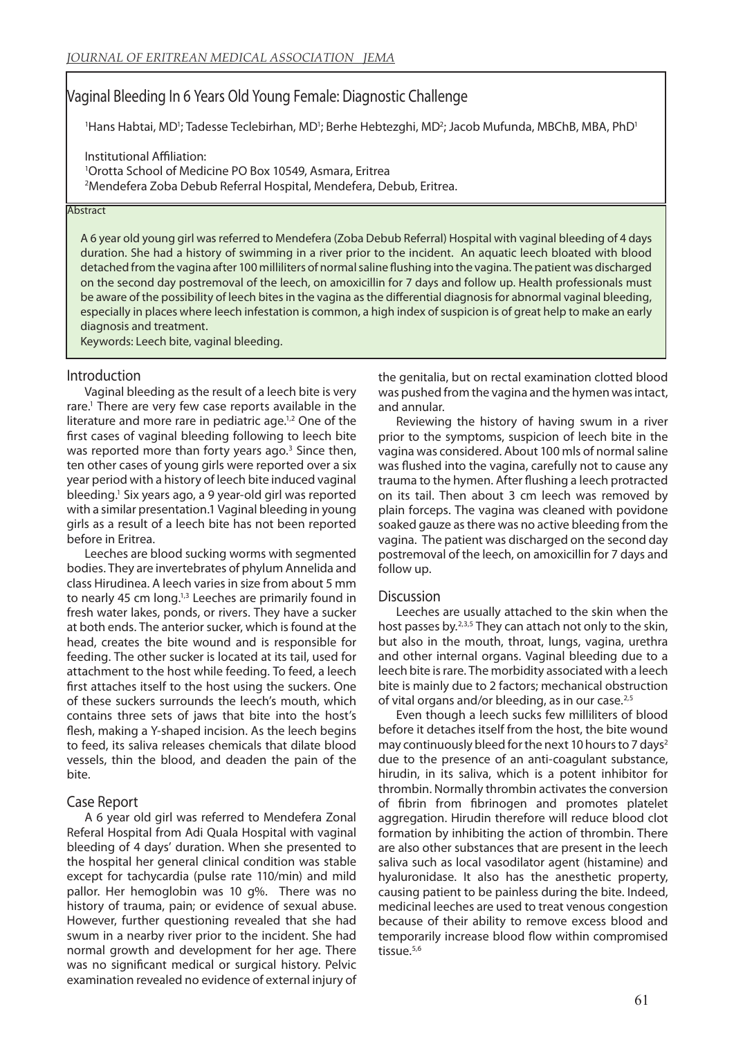# Vaginal Bleeding In 6 Years Old Young Female: Diagnostic Challenge

'Hans Habtai, MD'; Tadesse Teclebirhan, MD'; Berhe Hebtezghi, MD<sup>2</sup>; Jacob Mufunda, MBChB, MBA, PhD<sup>1</sup>

Institutional Affiliation: 1 Orotta School of Medicine PO Box 10549, Asmara, Eritrea 2 Mendefera Zoba Debub Referral Hospital, Mendefera, Debub, Eritrea.

#### **Abstract**

A 6 year old young girl was referred to Mendefera (Zoba Debub Referral) Hospital with vaginal bleeding of 4 days duration. She had a history of swimming in a river prior to the incident. An aquatic leech bloated with blood detached from the vagina after 100 milliliters of normal saline flushing into the vagina. The patient was discharged on the second day postremoval of the leech, on amoxicillin for 7 days and follow up. Health professionals must be aware of the possibility of leech bites in the vagina as the differential diagnosis for abnormal vaginal bleeding, especially in places where leech infestation is common, a high index of suspicion is of great help to make an early diagnosis and treatment.

Keywords: Leech bite, vaginal bleeding.

## Introduction

Vaginal bleeding as the result of a leech bite is very rare.<sup>1</sup> There are very few case reports available in the literature and more rare in pediatric age.<sup>1,2</sup> One of the first cases of vaginal bleeding following to leech bite was reported more than forty years ago.<sup>3</sup> Since then, ten other cases of young girls were reported over a six year period with a history of leech bite induced vaginal bleeding.1 Six years ago, a 9 year-old girl was reported with a similar presentation.1 Vaginal bleeding in young girls as a result of a leech bite has not been reported before in Eritrea.

Leeches are blood sucking worms with segmented bodies. They are invertebrates of phylum Annelida and class Hirudinea. A leech varies in size from about 5 mm to nearly 45 cm long.<sup>1,3</sup> Leeches are primarily found in fresh water lakes, ponds, or rivers. They have a sucker at both ends. The anterior sucker, which is found at the head, creates the bite wound and is responsible for feeding. The other sucker is located at its tail, used for attachment to the host while feeding. To feed, a leech first attaches itself to the host using the suckers. One of these suckers surrounds the leech's mouth, which contains three sets of jaws that bite into the host's flesh, making a Y-shaped incision. As the leech begins to feed, its saliva releases chemicals that dilate blood vessels, thin the blood, and deaden the pain of the bite.

## Case Report

A 6 year old girl was referred to Mendefera Zonal Referal Hospital from Adi Quala Hospital with vaginal bleeding of 4 days' duration. When she presented to the hospital her general clinical condition was stable except for tachycardia (pulse rate 110/min) and mild pallor. Her hemoglobin was 10 g%. There was no history of trauma, pain; or evidence of sexual abuse. However, further questioning revealed that she had swum in a nearby river prior to the incident. She had normal growth and development for her age. There was no significant medical or surgical history. Pelvic examination revealed no evidence of external injury of the genitalia, but on rectal examination clotted blood was pushed from the vagina and the hymen was intact, and annular.

Reviewing the history of having swum in a river prior to the symptoms, suspicion of leech bite in the vagina was considered. About 100 mls of normal saline was flushed into the vagina, carefully not to cause any trauma to the hymen. After flushing a leech protracted on its tail. Then about 3 cm leech was removed by plain forceps. The vagina was cleaned with povidone soaked gauze as there was no active bleeding from the vagina. The patient was discharged on the second day postremoval of the leech, on amoxicillin for 7 days and follow up.

### **Discussion**

Leeches are usually attached to the skin when the host passes by.<sup>2,3,5</sup> They can attach not only to the skin, but also in the mouth, throat, lungs, vagina, urethra and other internal organs. Vaginal bleeding due to a leech bite is rare. The morbidity associated with a leech bite is mainly due to 2 factors; mechanical obstruction of vital organs and/or bleeding, as in our case.<sup>2,5</sup>

Even though a leech sucks few milliliters of blood before it detaches itself from the host, the bite wound may continuously bleed for the next 10 hours to 7 days<sup>2</sup> due to the presence of an anti-coagulant substance, hirudin, in its saliva, which is a potent inhibitor for thrombin. Normally thrombin activates the conversion of fibrin from fibrinogen and promotes platelet aggregation. Hirudin therefore will reduce blood clot formation by inhibiting the action of thrombin. There are also other substances that are present in the leech saliva such as local vasodilator agent (histamine) and hyaluronidase. It also has the anesthetic property, causing patient to be painless during the bite. Indeed, medicinal leeches are used to treat venous congestion because of their ability to remove excess blood and temporarily increase blood flow within compromised tissue.<sup>5,6</sup>